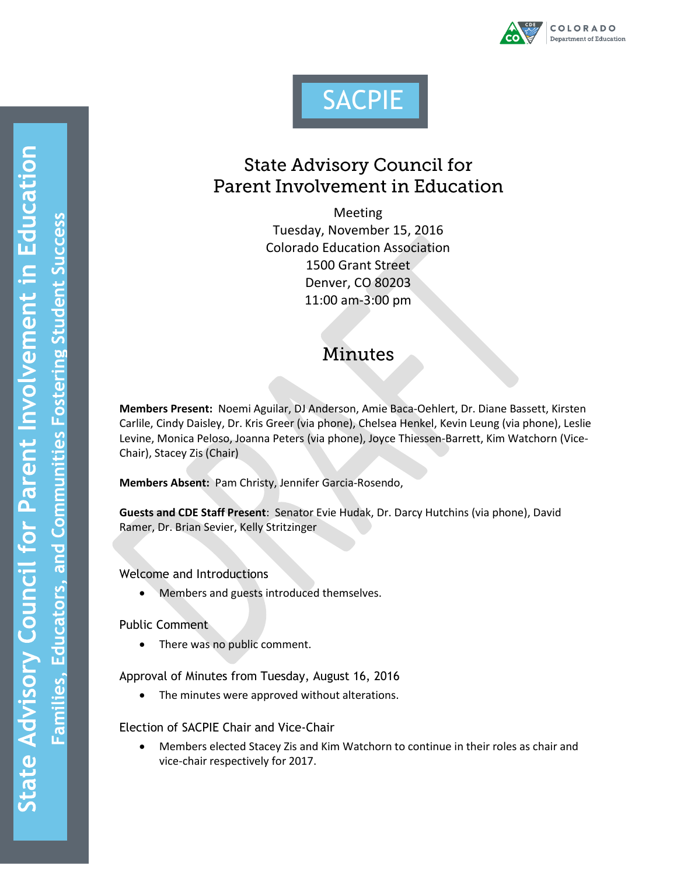



## **State Advisory Council for** Parent Involvement in Education

Meeting Tuesday, November 15, 2016 Colorado Education Association 1500 Grant Street Denver, CO 80203 11:00 am-3:00 pm

# **Minutes**

**Members Present:** Noemi Aguilar, DJ Anderson, Amie Baca-Oehlert, Dr. Diane Bassett, Kirsten Carlile, Cindy Daisley, Dr. Kris Greer (via phone), Chelsea Henkel, Kevin Leung (via phone), Leslie Levine, Monica Peloso, Joanna Peters (via phone), Joyce Thiessen-Barrett, Kim Watchorn (Vice-Chair), Stacey Zis (Chair)

**Members Absent:** Pam Christy, Jennifer Garcia-Rosendo,

**Guests and CDE Staff Present**: Senator Evie Hudak, Dr. Darcy Hutchins (via phone), David Ramer, Dr. Brian Sevier, Kelly Stritzinger

Welcome and Introductions

Members and guests introduced themselves.

Public Comment

• There was no public comment.

Approval of Minutes from Tuesday, August 16, 2016

The minutes were approved without alterations.

Election of SACPIE Chair and Vice-Chair

 Members elected Stacey Zis and Kim Watchorn to continue in their roles as chair and vice-chair respectively for 2017.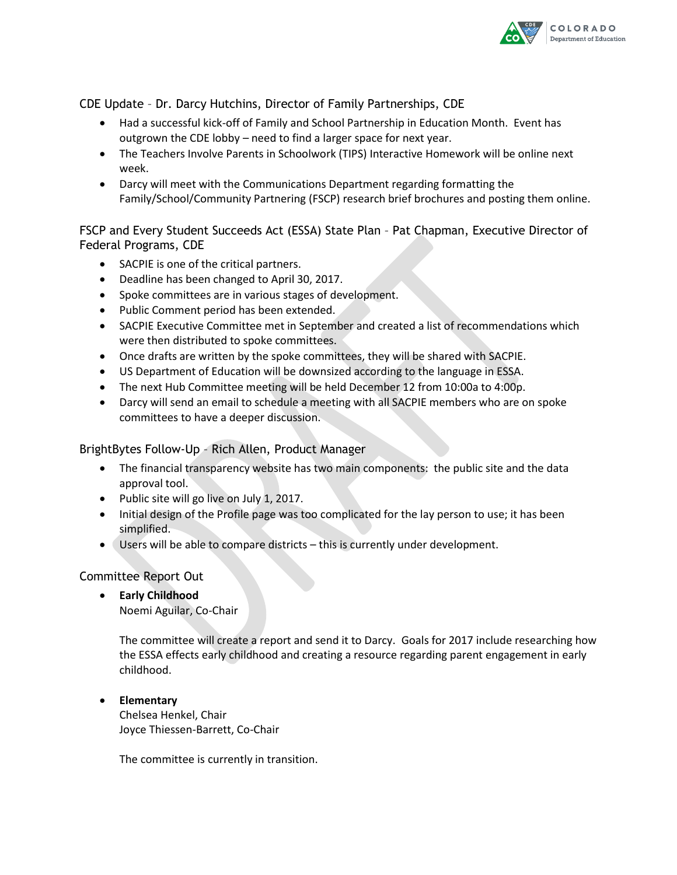

CDE Update – Dr. Darcy Hutchins, Director of Family Partnerships, CDE

- Had a successful kick-off of Family and School Partnership in Education Month. Event has outgrown the CDE lobby – need to find a larger space for next year.
- The Teachers Involve Parents in Schoolwork (TIPS) Interactive Homework will be online next week.
- Darcy will meet with the Communications Department regarding formatting the Family/School/Community Partnering (FSCP) research brief brochures and posting them online.

FSCP and Every Student Succeeds Act (ESSA) State Plan – Pat Chapman, Executive Director of Federal Programs, CDE

- SACPIE is one of the critical partners.
- Deadline has been changed to April 30, 2017.
- Spoke committees are in various stages of development.
- Public Comment period has been extended.
- SACPIE Executive Committee met in September and created a list of recommendations which were then distributed to spoke committees.
- Once drafts are written by the spoke committees, they will be shared with SACPIE.
- US Department of Education will be downsized according to the language in ESSA.
- The next Hub Committee meeting will be held December 12 from 10:00a to 4:00p.
- Darcy will send an email to schedule a meeting with all SACPIE members who are on spoke committees to have a deeper discussion.

### BrightBytes Follow-Up – Rich Allen, Product Manager

- The financial transparency website has two main components: the public site and the data approval tool.
- Public site will go live on July 1, 2017.
- Initial design of the Profile page was too complicated for the lay person to use; it has been simplified.
- Users will be able to compare districts this is currently under development.

## Committee Report Out

- **Early Childhood**
	- Noemi Aguilar, Co-Chair

The committee will create a report and send it to Darcy. Goals for 2017 include researching how the ESSA effects early childhood and creating a resource regarding parent engagement in early childhood.

### **Elementary**

Chelsea Henkel, Chair Joyce Thiessen-Barrett, Co-Chair

The committee is currently in transition.